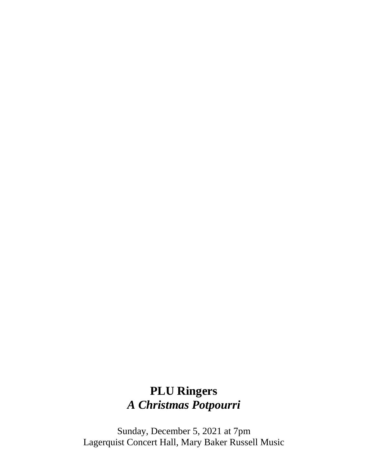# **PLU Ringers** *A Christmas Potpourri*

Sunday, December 5, 2021 at 7pm Lagerquist Concert Hall, Mary Baker Russell Music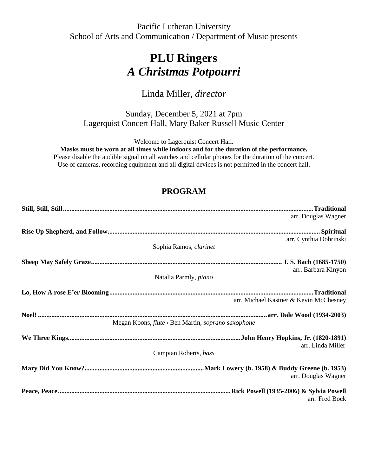Pacific Lutheran University School of Arts and Communication / Department of Music presents

## **PLU Ringers** *A Christmas Potpourri*

## Linda Miller, *director*

Sunday, December 5, 2021 at 7pm Lagerquist Concert Hall, Mary Baker Russell Music Center

Welcome to Lagerquist Concert Hall.

**Masks must be worn at all times while indoors and for the duration of the performance.**

Please disable the audible signal on all watches and cellular phones for the duration of the concert. Use of cameras, recording equipment and all digital devices is not permitted in the concert hall.

## **PROGRAM**

| arr. Douglas Wagner                                |
|----------------------------------------------------|
|                                                    |
|                                                    |
| arr. Cynthia Dobrinski                             |
| Sophia Ramos, clarinet                             |
|                                                    |
|                                                    |
| arr. Barbara Kinyon                                |
| Natalia Parmly, piano                              |
|                                                    |
| arr. Michael Kastner & Kevin McChesney             |
|                                                    |
|                                                    |
| Megan Koons, flute • Ben Martin, soprano saxophone |
|                                                    |
|                                                    |
| arr. Linda Miller                                  |
| Campian Roberts, bass                              |
|                                                    |
|                                                    |
| arr. Douglas Wagner                                |
|                                                    |
|                                                    |
| arr. Fred Bock                                     |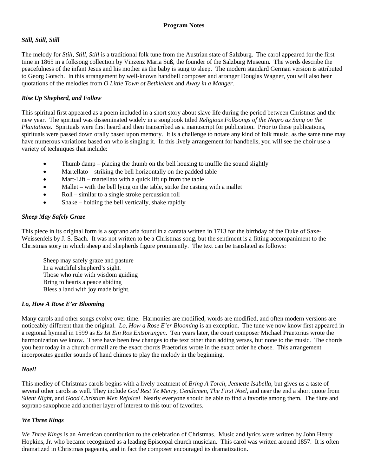#### **Program Notes**

#### *Still, Still, Still*

The melody for *Still, Still, Still* is a traditional folk tune from the Austrian state of Salzburg. The carol appeared for the first time in 1865 in a folksong collection by Vinzenz Maria Süß, the founder of the Salzburg Museum. The words describe the peacefulness of the infant Jesus and his mother as the baby is sung to sleep. The modern standard German version is attributed to Georg Gotsch. In this arrangement by well-known handbell composer and arranger Douglas Wagner, you will also hear quotations of the melodies from *O Little Town of Bethlehem* and *Away in a Manger.*

#### *Rise Up Shepherd, and Follow*

This spiritual first appeared as a poem included in a short story about slave life during the period between Christmas and the new year. The spiritual was disseminated widely in a songbook titled *Religious Folksongs of the Negro as Sung on the Plantations.* Spirituals were first heard and then transcribed as a manuscript for publication. Prior to these publications, spirituals were passed down orally based upon memory. It is a challenge to notate any kind of folk music, as the same tune may have numerous variations based on who is singing it. In this lively arrangement for handbells, you will see the choir use a variety of techniques that include:

- Thumb damp placing the thumb on the bell housing to muffle the sound slightly
- Martellato striking the bell horizontally on the padded table
- Mart-Lift martellato with a quick lift up from the table
- Mallet with the bell lying on the table, strike the casting with a mallet
- Roll similar to a single stroke percussion roll
- Shake holding the bell vertically, shake rapidly

#### *Sheep May Safely Graze*

This piece in its original form is a soprano aria found in a cantata written in 1713 for the birthday of the Duke of Saxe-Weissenfels by J. S. Bach. It was not written to be a Christmas song, but the sentiment is a fitting accompaniment to the Christmas story in which sheep and shepherds figure prominently. The text can be translated as follows:

Sheep may safely graze and pasture In a watchful shepherd's sight. Those who rule with wisdom guiding Bring to hearts a peace abiding Bless a land with joy made bright.

#### *Lo, How A Rose E'er Blooming*

Many carols and other songs evolve over time. Harmonies are modified, words are modified, and often modern versions are noticeably different than the original. *Lo, How a Rose E'er Blooming* is an exception. The tune we now know first appeared in a regional hymnal in 1599 as *Es Ist Ein Ros Entsprungen*. Ten years later, the court composer Michael Praetorius wrote the harmonization we know. There have been few changes to the text other than adding verses, but none to the music. The chords you hear today in a church or mall are the exact chords Praetorius wrote in the exact order he chose. This arrangement incorporates gentler sounds of hand chimes to play the melody in the beginning.

#### *Noel!*

This medley of Christmas carols begins with a lively treatment of *Bring A Torch, Jeanette Isabella*, but gives us a taste of several other carols as well. They include *God Rest Ye Merry, Gentlemen, The First Noel*, and near the end a short quote from *Silent Night*, and *Good Christian Men Rejoice!* Nearly everyone should be able to find a favorite among them. The flute and soprano saxophone add another layer of interest to this tour of favorites.

#### *We Three Kings*

*We Three Kings* is an American contribution to the celebration of Christmas. Music and lyrics were written by John Henry Hopkins, Jr. who became recognized as a leading Episcopal church musician. This carol was written around 1857. It is often dramatized in Christmas pageants, and in fact the composer encouraged its dramatization.